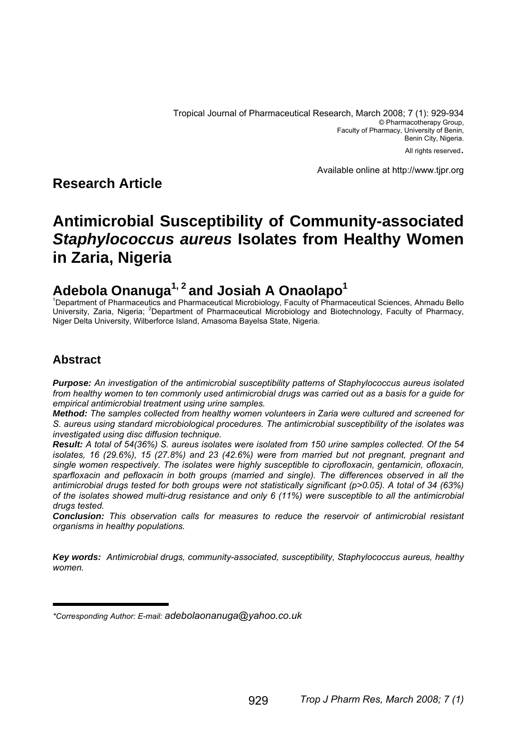Tropical Journal of Pharmaceutical Research, March 2008; 7 (1): 929-934 © Pharmacotherapy Group, Faculty of Pharmacy, University of Benin, Benin City, Nigeria. All rights reserved.

Available online at http://www.tjpr.org

# **Research Article**

# **Antimicrobial Susceptibility of Community-associated**  *Staphylococcus aureus* **Isolates from Healthy Women in Zaria, Nigeria**

# **Adebola Onanuga1, 2 and Josiah A Onaolapo1** <sup>1</sup>

<sup>1</sup>Department of Pharmaceutics and Pharmaceutical Microbiology, Faculty of Pharmaceutical Sciences, Ahmadu Bello University, Zaria, Nigeria; <sup>2</sup>Department of Pharmaceutical Microbiology and Biotechnology, Faculty of Pharmacy, Niger Delta University, Wilberforce Island, Amasoma Bayelsa State, Nigeria.

## **Abstract**

*Purpose: An investigation of the antimicrobial susceptibility patterns of Staphylococcus aureus isolated from healthy women to ten commonly used antimicrobial drugs was carried out as a basis for a guide for empirical antimicrobial treatment using urine samples.* 

*Method: The samples collected from healthy women volunteers in Zaria were cultured and screened for S. aureus using standard microbiological procedures. The antimicrobial susceptibility of the isolates was investigated using disc diffusion technique.* 

*Result: A total of 54(36%) S. aureus isolates were isolated from 150 urine samples collected. Of the 54 isolates, 16 (29.6%), 15 (27.8%) and 23 (42.6%) were from married but not pregnant, pregnant and single women respectively. The isolates were highly susceptible to ciprofloxacin, gentamicin, ofloxacin, sparfloxacin and pefloxacin in both groups (married and single). The differences observed in all the antimicrobial drugs tested for both groups were not statistically significant (p>0.05). A total of 34 (63%) of the isolates showed multi-drug resistance and only 6 (11%) were susceptible to all the antimicrobial drugs tested.* 

*Conclusion: This observation calls for measures to reduce the reservoir of antimicrobial resistant organisms in healthy populations.* 

*Key words: Antimicrobial drugs, community-associated, susceptibility, Staphylococcus aureus, healthy women.* 

*<sup>\*</sup>Corresponding Author: E-mail: adebolaonanuga@yahoo.co.uk*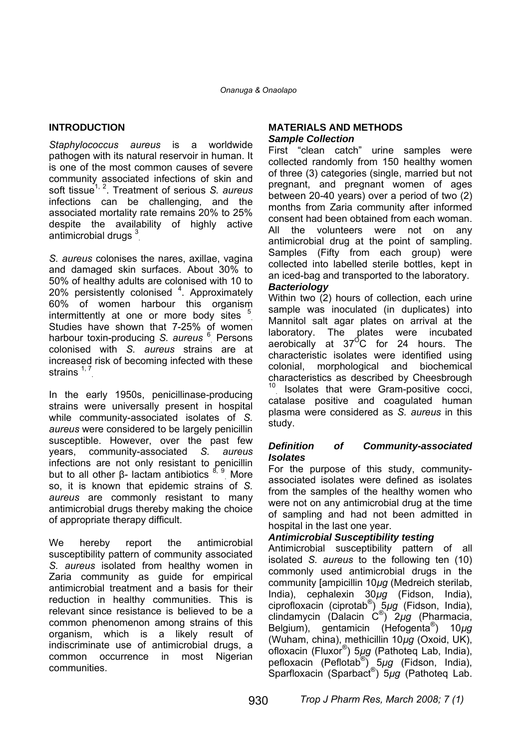## **INTRODUCTION**

*Staphylococcus aureus* is a worldwide pathogen with its natural reservoir in human. It is one of the most common causes of severe community associated infections of skin and soft tissue<sup>1, 2</sup>. Treatment of serious *S. aureus* infections can be challenging, and the associated mortality rate remains 20% to 25% despite the availability of highly active antimicrobial drugs<sup>3</sup>

*S. aureus* colonises the nares, axillae, vagina and damaged skin surfaces. About 30% to 50% of healthy adults are colonised with 10 to 20% persistently colonised <sup>4</sup>. Approximately 60% of women harbour this organism intermittently at one or more body sites  $5$ Studies have shown that 7-25% of women harbour toxin-producing *S. aureus* <sup>6</sup> . Persons colonised with *S. aureus* strains are at increased risk of becoming infected with these strains  $1, 7$ 

In the early 1950s, penicillinase-producing strains were universally present in hospital while community-associated isolates of *S. aureus* were considered to be largely penicillin susceptible. However, over the past few years, community-associated *S. aureus* infections are not only resistant to penicillin but to all other β- lactam antibiotics  $^{8, 9}$  More so, it is known that epidemic strains of *S. aureus* are commonly resistant to many antimicrobial drugs thereby making the choice of appropriate therapy difficult.

We hereby report the antimicrobial susceptibility pattern of community associated *S. aureus* isolated from healthy women in Zaria community as guide for empirical antimicrobial treatment and a basis for their reduction in healthy communities. This is relevant since resistance is believed to be a common phenomenon among strains of this organism, which is a likely result of indiscriminate use of antimicrobial drugs, a common occurrence in most Nigerian communities.

#### **MATERIALS AND METHODS**  *Sample Collection*

First "clean catch" urine samples were collected randomly from 150 healthy women of three (3) categories (single, married but not pregnant, and pregnant women of ages between 20-40 years) over a period of two (2) months from Zaria community after informed consent had been obtained from each woman. All the volunteers were not on any antimicrobial drug at the point of sampling. Samples (Fifty from each group) were collected into labelled sterile bottles, kept in an iced-bag and transported to the laboratory.

#### *Bacteriology*

Within two (2) hours of collection, each urine sample was inoculated (in duplicates) into Mannitol salt agar plates on arrival at the laboratory. The plates were incubated aerobically at 37 $\mathrm{^{^\circ}C}$  for 24 hours. The characteristic isolates were identified using colonial, morphological and biochemical characteristics as described by Cheesbrough <sup>10</sup> Isolates that were Gram-positive cocci, catalase positive and coagulated human plasma were considered as *S. aureus* in this study.

#### *Definition of Community-associated Isolates*

For the purpose of this study, communityassociated isolates were defined as isolates from the samples of the healthy women who were not on any antimicrobial drug at the time of sampling and had not been admitted in hospital in the last one year.

#### *Antimicrobial Susceptibility testing*

Antimicrobial susceptibility pattern of all isolated *S. aureus* to the following ten (10) commonly used antimicrobial drugs in the community [ampicillin 10*µg* (Medreich sterilab, India), cephalexin 30*µg* (Fidson, India), ciprofloxacin (ciprotab® ) 5*µg* (Fidson, India), clindamycin (Dalacin C® ) 2*µg* (Pharmacia, Belgium), gentamicin (Hefogenta® ) 10*µg* (Wuham, china), methicillin 10*µg* (Oxoid, UK), ofloxacin (Fluxor® ) 5*µg* (Pathoteq Lab, India), pefloxacin (Peflotab® ) 5*µg* (Fidson, India), Sparfloxacin (Sparbact® ) 5*µg* (Pathoteq Lab.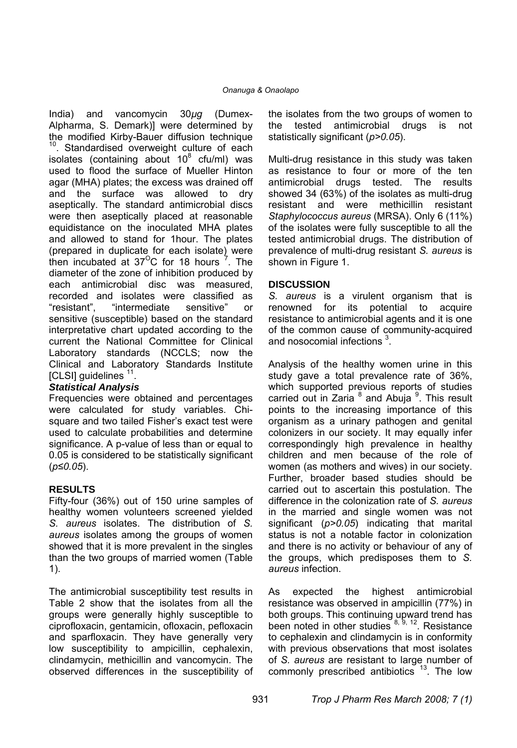India) and vancomycin 30*µg* (Dumex-Alpharma, S. Demark)] were determined by the modified Kirby-Bauer diffusion technique <sup>10</sup>. Standardised overweight culture of each isolates (containing about  $10^8$  cfu/ml) was used to flood the surface of Mueller Hinton agar (MHA) plates; the excess was drained off and the surface was allowed to dry aseptically. The standard antimicrobial discs were then aseptically placed at reasonable equidistance on the inoculated MHA plates and allowed to stand for 1hour. The plates (prepared in duplicate for each isolate) were then incubated at  $37^{\circ}$ C for 18 hours  $7^{\circ}$ . The diameter of the zone of inhibition produced by each antimicrobial disc was measured, recorded and isolates were classified as "resistant", "intermediate sensitive" or sensitive (susceptible) based on the standard interpretative chart updated according to the current the National Committee for Clinical Laboratory standards (NCCLS; now the Clinical and Laboratory Standards Institute [CLSI] guidelines  $11$ .

### *Statistical Analysis*

Frequencies were obtained and percentages were calculated for study variables. Chisquare and two tailed Fisher's exact test were used to calculate probabilities and determine significance. A p-value of less than or equal to 0.05 is considered to be statistically significant (*p≤0.05*).

### **RESULTS**

Fifty-four (36%) out of 150 urine samples of healthy women volunteers screened yielded *S. aureus* isolates. The distribution of *S. aureus* isolates among the groups of women showed that it is more prevalent in the singles than the two groups of married women (Table 1).

The antimicrobial susceptibility test results in Table 2 show that the isolates from all the groups were generally highly susceptible to ciprofloxacin, gentamicin, ofloxacin, pefloxacin and sparfloxacin. They have generally very low susceptibility to ampicillin, cephalexin, clindamycin, methicillin and vancomycin. The observed differences in the susceptibility of the isolates from the two groups of women to the tested antimicrobial drugs is not statistically significant (*p>0.05*).

Multi-drug resistance in this study was taken as resistance to four or more of the ten antimicrobial drugs tested. The results showed 34 (63%) of the isolates as multi-drug resistant and were methicillin resistant *Staphylococcus aureus* (MRSA). Only 6 (11%) of the isolates were fully susceptible to all the tested antimicrobial drugs. The distribution of prevalence of multi-drug resistant *S. aureus* is shown in Figure 1.

#### **DISCUSSION**

*S. aureus* is a virulent organism that is renowned for its potential to acquire resistance to antimicrobial agents and it is one of the common cause of community-acquired and nosocomial infections  $3$ .

Analysis of the healthy women urine in this study gave a total prevalence rate of 36%, which supported previous reports of studies carried out in Zaria <sup>8</sup> and Abuja <sup>9</sup>. This result points to the increasing importance of this organism as a urinary pathogen and genital colonizers in our society. It may equally infer correspondingly high prevalence in healthy children and men because of the role of women (as mothers and wives) in our society. Further, broader based studies should be carried out to ascertain this postulation. The difference in the colonization rate of *S. aureus* in the married and single women was not significant (*p>0.05*) indicating that marital status is not a notable factor in colonization and there is no activity or behaviour of any of the groups, which predisposes them to *S. aureus* infection.

As expected the highest antimicrobial resistance was observed in ampicillin (77%) in both groups. This continuing upward trend has been noted in other studies  $8, 9, 12$ . Resistance to cephalexin and clindamycin is in conformity with previous observations that most isolates of *S. aureus* are resistant to large number of commonly prescribed antibiotics  $13$ . The low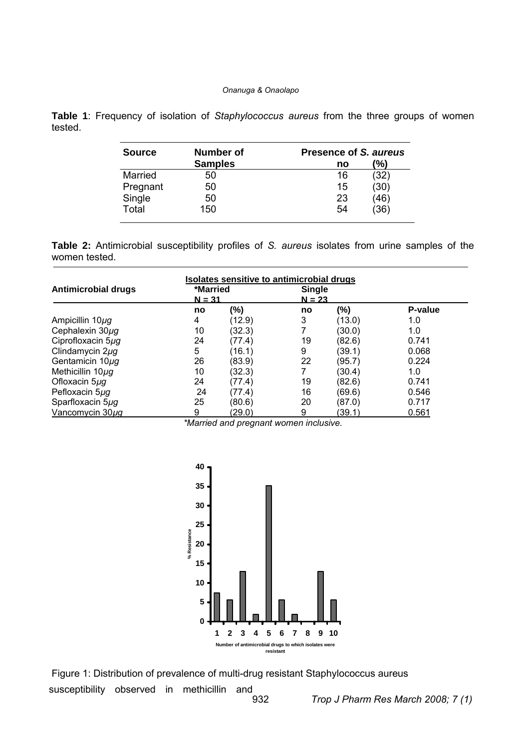#### *Onanuga & Onaolapo*

**Table 1**: Frequency of isolation of *Staphylococcus aureus* from the three groups of women tested.

| Number of      | Presence of S. aureus |  |  |
|----------------|-----------------------|--|--|
| <b>Samples</b> | $\frac{1}{2}$<br>no   |  |  |
| 50             | (32)<br>16            |  |  |
| 50             | (30)<br>15            |  |  |
| 50             | (46)<br>23            |  |  |
| 150            | (36)<br>54            |  |  |
|                |                       |  |  |

**Table 2:** Antimicrobial susceptibility profiles of *S. aureus* isolates from urine samples of the women tested.

| Isolates sensitive to antimicrobial drugs |                      |        |                           |        |         |  |
|-------------------------------------------|----------------------|--------|---------------------------|--------|---------|--|
| Antimicrobial drugs                       | *Married<br>$N = 31$ |        | <b>Single</b><br>$N = 23$ |        |         |  |
|                                           | no                   | (%)    | no                        | $(\%)$ | P-value |  |
| Ampicillin 10µg                           | 4                    | (12.9) | 3                         | (13.0) | 1.0     |  |
| Cephalexin $30\mu$ g                      | 10                   | (32.3) |                           | (30.0) | 1.0     |  |
| Ciprofloxacin 5µq                         | 24                   | (77.4) | 19                        | (82.6) | 0.741   |  |
| Clindamycin $2\mu$ g                      | 5                    | (16.1) | 9                         | (39.1) | 0.068   |  |
| Gentamicin 10µq                           | 26                   | (83.9) | 22                        | (95.7) | 0.224   |  |
| Methicillin 10µq                          | 10                   | (32.3) |                           | (30.4) | 1.0     |  |
| Ofloxacin 5ug                             | 24                   | (77.4) | 19                        | (82.6) | 0.741   |  |
| Pefloxacin 5uq                            | 24                   | (77.4) | 16                        | (69.6) | 0.546   |  |
| Sparfloxacin 5µq                          | 25                   | (80.6) | 20                        | (87.0) | 0.717   |  |
| Vancomycin 30uq                           | 9                    | (29.0) | 9                         | (39.1) | 0.561   |  |

*\*Married and pregnant women inclusive.* 



susceptibility observed in methicillin and Figure 1: Distribution of prevalence of multi-drug resistant Staphylococcus aureus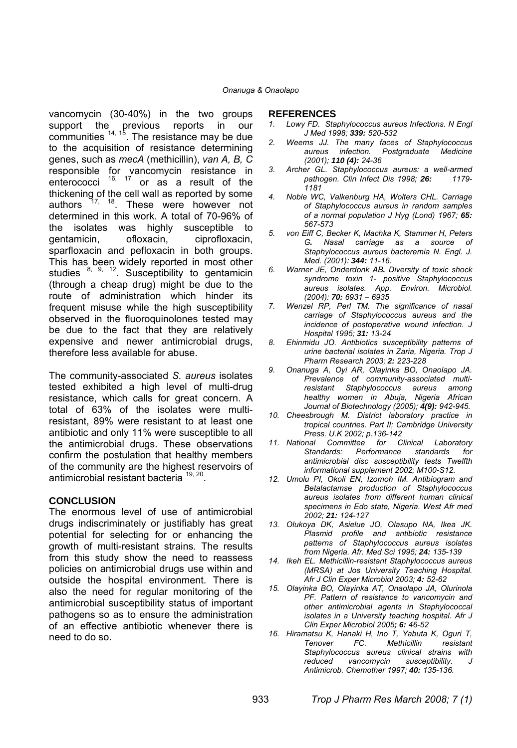vancomycin (30-40%) in the two groups support the previous reports in our communities  $14, 15$ . The resistance may be due to the acquisition of resistance determining genes, such as *mecA* (methicillin), *van A, B, C* responsible for vancomycin resistance in enterococci<sup>16, 17</sup> or as a result of the thickening of the cell wall as reported by some authors  $17, 18$ . These were however not determined in this work. A total of 70-96% of the isolates was highly susceptible to gentamicin, ofloxacin, ciprofloxacin, sparfloxacin and pefloxacin in both groups. This has been widely reported in most other studies  $8, 9, 12$ . Susceptibility to gentamicin (through a cheap drug) might be due to the route of administration which hinder its frequent misuse while the high susceptibility observed in the fluoroquinolones tested may be due to the fact that they are relatively expensive and newer antimicrobial drugs, therefore less available for abuse.

The community-associated *S. aureus* isolates tested exhibited a high level of multi-drug resistance, which calls for great concern. A total of 63% of the isolates were multiresistant, 89% were resistant to at least one antibiotic and only 11% were susceptible to all the antimicrobial drugs. These observations confirm the postulation that healthy members of the community are the highest reservoirs of antimicrobial resistant bacteria 19, 20.

#### **CONCLUSION**

The enormous level of use of antimicrobial drugs indiscriminately or justifiably has great potential for selecting for or enhancing the growth of multi-resistant strains. The results from this study show the need to reassess policies on antimicrobial drugs use within and outside the hospital environment. There is also the need for regular monitoring of the antimicrobial susceptibility status of important pathogens so as to ensure the administration of an effective antibiotic whenever there is need to do so.

#### **REFERENCES**

- *1. Lowy FD. Staphylococcus aureus Infections. N Engl J Med 1998; 339: 520-532*
- *2. Weems JJ. The many faces of Staphylococcus aureus infection. Postgraduate Medicine (2001); 110 (4): 24-36*
- *3. Archer GL. Staphylococcus aureus: a well-armed pathogen. Clin Infect Dis 1998; 26: 1179- 1181*
- *4. Noble WC, Valkenburg HA, Wolters CHL. Carriage of Staphylococcus aureus in random samples of a normal population J Hyg (Lond) 1967; 65: 567-573*
- *5. von Eiff C, Becker K, Machka K, Stammer H, Peters G. Nasal carriage as a source of Staphylococcus aureus bacteremia N. Engl. J. Med. (2001): 344: 11-16.*
- *6. Warner JE, Onderdonk AB. Diversity of toxic shock syndrome toxin 1- positive Staphylococcus aureus isolates. App. Environ. Microbiol. (2004): 70: 6931 – 6935*
- *7. Wenzel RP, Perl TM. The significance of nasal carriage of Staphylococcus aureus and the incidence of postoperative wound infection. J Hospital 1995; 31: 13-24*
- *8. Ehinmidu JO. Antibiotics susceptibility patterns of urine bacterial isolates in Zaria, Nigeria. Trop J Pharm Research 2003; 2: 223-228*
- *9. Onanuga A, Oyi AR, Olayinka BO, Onaolapo JA. Prevalence of community-associated multiresistant Staphylococcus aureus among healthy women in Abuja, Nigeria African Journal of Biotechnology (2005); 4(9): 942-945.*
- *10. Cheesbrough M. District laboratory practice in tropical countries. Part II; Cambridge University Press. U.K 2002; p.136-142*
- *11. National Committee for Clinical Laboratory Standards: Performance standards for antimicrobial disc susceptibility tests Twelfth informational supplement 2002; M100-S12.*
- *12. Umolu PI, Okoli EN, Izomoh IM. Antibiogram and Betalactamse production of Staphylococcus aureus isolates from different human clinical specimens in Edo state, Nigeria. West Afr med 2002; 21: 124-127*
- *13. Olukoya DK, Asielue JO, Olasupo NA, Ikea JK. Plasmid profile and antibiotic resistance patterns of Staphylococcus aureus isolates from Nigeria. Afr. Med Sci 1995; 24: 135-139*
- *14. Ikeh EL. Methicillin-resistant Staphylococcus aureus (MRSA) at Jos University Teaching Hospital. Afr J Clin Exper Microbiol 2003; 4: 52-62*
- *15. Olayinka BO, Olayinka AT, Onaolapo JA, Olurinola PF. Pattern of resistance to vancomycin and other antimicrobial agents in Staphylococcal isolates in a University teaching hospital. Afr J Clin Exper Microbiol 2005; 6: 46-52*
- *16. Hiramatsu K, Hanaki H, Ino T, Yabuta K, Oguri T, Methicillin Staphylococcus aureus clinical strains with reduced vancomycin susceptibility. J Antimicrob. Chemother 1997; 40: 135-136.*